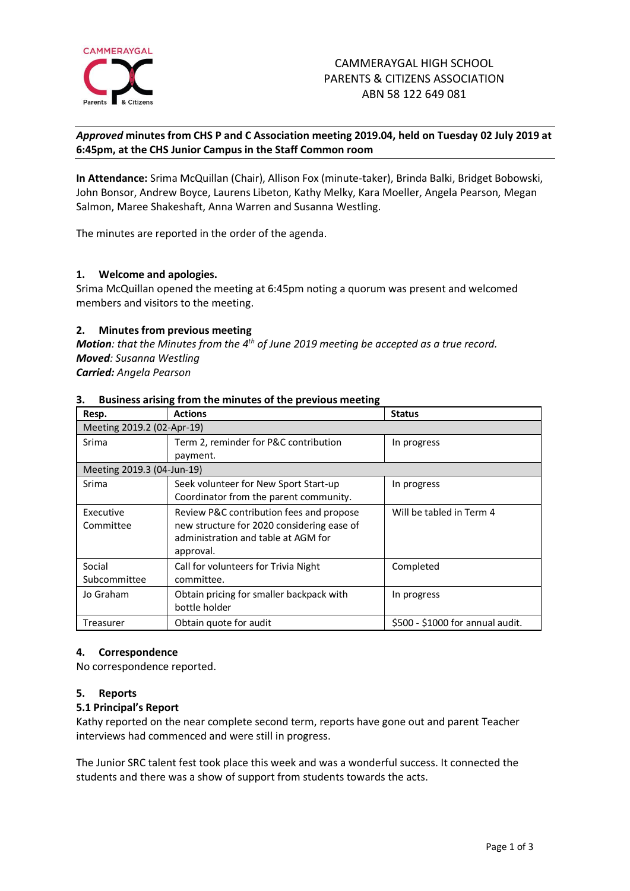

# *Approved* **minutes from CHS P and C Association meeting 2019.04, held on Tuesday 02 July 2019 at 6:45pm, at the CHS Junior Campus in the Staff Common room**

**In Attendance:** Srima McQuillan (Chair), Allison Fox (minute-taker), Brinda Balki, Bridget Bobowski, John Bonsor, Andrew Boyce, Laurens Libeton, Kathy Melky, Kara Moeller, Angela Pearson, Megan Salmon, Maree Shakeshaft, Anna Warren and Susanna Westling.

The minutes are reported in the order of the agenda.

# **1. Welcome and apologies.**

Srima McQuillan opened the meeting at 6:45pm noting a quorum was present and welcomed members and visitors to the meeting.

# **2. Minutes from previous meeting**

*Motion: that the Minutes from the 4 th of June 2019 meeting be accepted as a true record. Moved: Susanna Westling Carried: Angela Pearson*

| Resp.                      | <b>Actions</b>                             | <b>Status</b>                    |
|----------------------------|--------------------------------------------|----------------------------------|
| Meeting 2019.2 (02-Apr-19) |                                            |                                  |
| Srima                      | Term 2, reminder for P&C contribution      | In progress                      |
|                            | payment.                                   |                                  |
| Meeting 2019.3 (04-Jun-19) |                                            |                                  |
| Srima                      | Seek volunteer for New Sport Start-up      | In progress                      |
|                            | Coordinator from the parent community.     |                                  |
| Executive                  | Review P&C contribution fees and propose   | Will be tabled in Term 4         |
| Committee                  | new structure for 2020 considering ease of |                                  |
|                            | administration and table at AGM for        |                                  |
|                            | approval.                                  |                                  |
| Social                     | Call for volunteers for Trivia Night       | Completed                        |
| Subcommittee               | committee.                                 |                                  |
| Jo Graham                  | Obtain pricing for smaller backpack with   | In progress                      |
|                            | bottle holder                              |                                  |
| Treasurer                  | Obtain quote for audit                     | \$500 - \$1000 for annual audit. |

# **3. Business arising from the minutes of the previous meeting**

# **4. Correspondence**

No correspondence reported.

# **5. Reports**

# **5.1 Principal's Report**

Kathy reported on the near complete second term, reports have gone out and parent Teacher interviews had commenced and were still in progress.

The Junior SRC talent fest took place this week and was a wonderful success. It connected the students and there was a show of support from students towards the acts.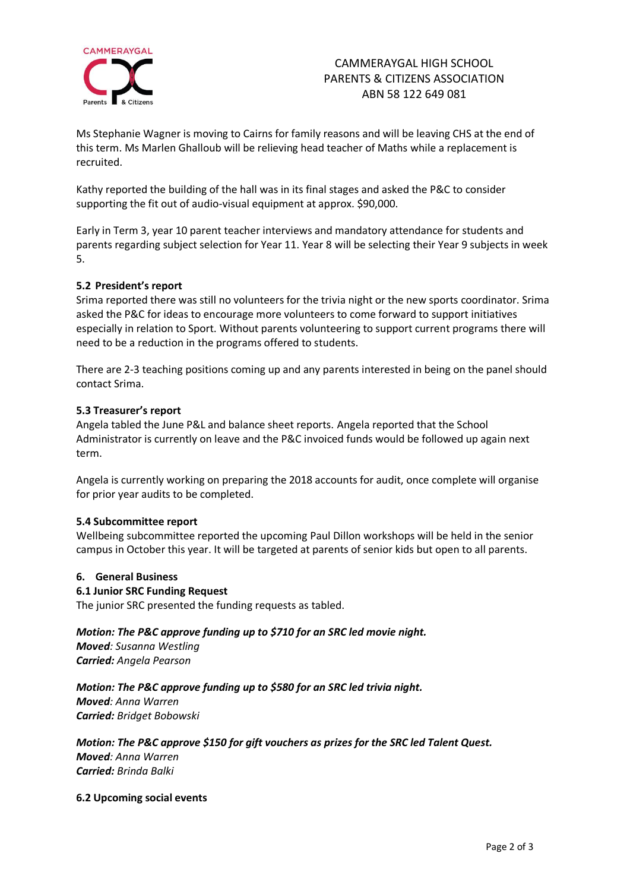

# CAMMERAYGAL HIGH SCHOOL PARENTS & CITIZENS ASSOCIATION ABN 58 122 649 081

Ms Stephanie Wagner is moving to Cairns for family reasons and will be leaving CHS at the end of this term. Ms Marlen Ghalloub will be relieving head teacher of Maths while a replacement is recruited.

Kathy reported the building of the hall was in its final stages and asked the P&C to consider supporting the fit out of audio-visual equipment at approx. \$90,000.

Early in Term 3, year 10 parent teacher interviews and mandatory attendance for students and parents regarding subject selection for Year 11. Year 8 will be selecting their Year 9 subjects in week 5.

# **5.2 President's report**

Srima reported there was still no volunteers for the trivia night or the new sports coordinator. Srima asked the P&C for ideas to encourage more volunteers to come forward to support initiatives especially in relation to Sport. Without parents volunteering to support current programs there will need to be a reduction in the programs offered to students.

There are 2-3 teaching positions coming up and any parents interested in being on the panel should contact Srima.

# **5.3 Treasurer's report**

Angela tabled the June P&L and balance sheet reports. Angela reported that the School Administrator is currently on leave and the P&C invoiced funds would be followed up again next term.

Angela is currently working on preparing the 2018 accounts for audit, once complete will organise for prior year audits to be completed.

# **5.4 Subcommittee report**

Wellbeing subcommittee reported the upcoming Paul Dillon workshops will be held in the senior campus in October this year. It will be targeted at parents of senior kids but open to all parents.

# **6. General Business**

# **6.1 Junior SRC Funding Request**

The junior SRC presented the funding requests as tabled.

# *Motion: The P&C approve funding up to \$710 for an SRC led movie night.*

*Moved: Susanna Westling Carried: Angela Pearson*

# *Motion: The P&C approve funding up to \$580 for an SRC led trivia night.*

*Moved: Anna Warren Carried: Bridget Bobowski*

# *Motion: The P&C approve \$150 for gift vouchers as prizes for the SRC led Talent Quest. Moved: Anna Warren*

*Carried: Brinda Balki*

**6.2 Upcoming social events**